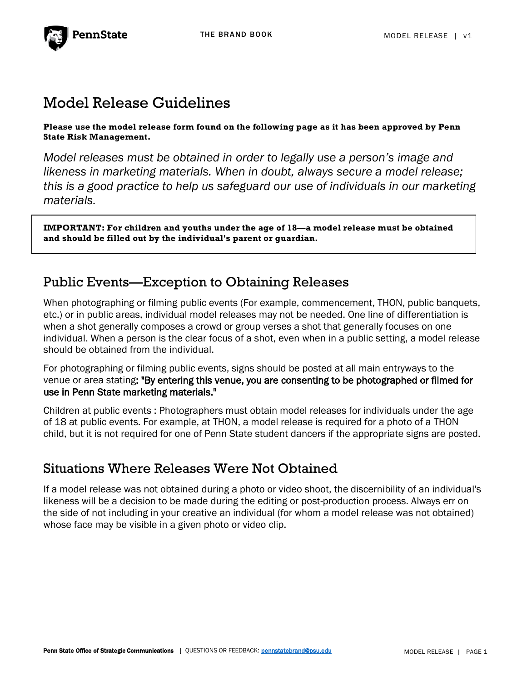

# Model Release Guidelines

**Please use the model release form found on the following page as it has been approved by Penn State Risk Management.**

*Model releases must be obtained in order to legally use a person's image and likeness in marketing materials. When in doubt, always secure a model release; this is a good practice to help us safeguard our use of individuals in our marketing materials.*

**IMPORTANT: For children and youths under the age of 18—a model release must be obtained and should be filled out by the individual's parent or guardian.**

# Public Events—Exception to Obtaining Releases

When photographing or filming public events (For example, commencement, THON, public banquets, etc.) or in public areas, individual model releases may not be needed. One line of differentiation is when a shot generally composes a crowd or group verses a shot that generally focuses on one individual. When a person is the clear focus of a shot, even when in a public setting, a model release should be obtained from the individual.

For photographing or filming public events, signs should be posted at all main entryways to the venue or area stating: "By entering this venue, you are consenting to be photographed or filmed for use in Penn State marketing materials."

Children at public events : Photographers must obtain model releases for individuals under the age of 18 at public events. For example, at THON, a model release is required for a photo of a THON child, but it is not required for one of Penn State student dancers if the appropriate signs are posted.

## Situations Where Releases Were Not Obtained

If a model release was not obtained during a photo or video shoot, the discernibility of an individual's likeness will be a decision to be made during the editing or post-production process. Always err on the side of not including in your creative an individual (for whom a model release was not obtained) whose face may be visible in a given photo or video clip.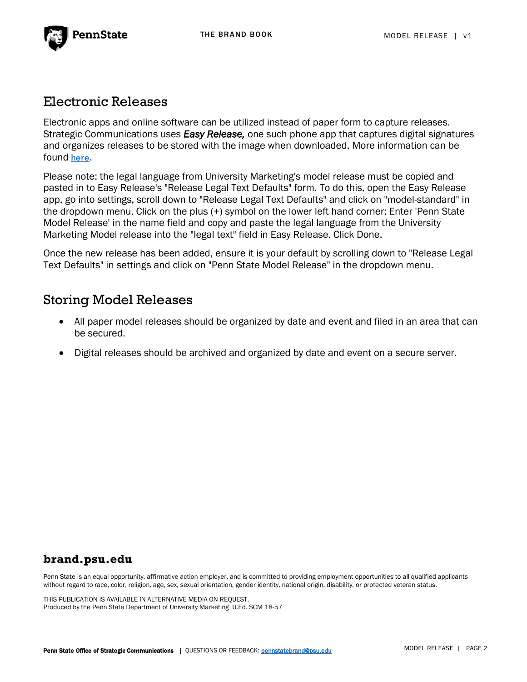

## Electronic Releases

Electronic apps and online software can be utilized instead of paper form to capture releases. Strategic Communications uses *Easy Release,* one such phone app that captures digital signatures and organizes releases to be stored with the image when downloaded. More information can be found [here](https://itunes.apple.com/us/app/easy-release-model-release-app/id360835268?mt=8).

Please note: the legal language from University Marketing's model release must be copied and pasted in to Easy Release's "Release Legal Text Defaults" form. To do this, open the Easy Release app, go into settings, scroll down to "Release Legal Text Defaults" and click on "model-standard" in the dropdown menu. Click on the plus (+) symbol on the lower left hand corner; Enter 'Penn State Model Release' in the name field and copy and paste the legal language from the University Marketing Model release into the "legal text" field in Easy Release. Click Done.

Once the new release has been added, ensure it is your default by scrolling down to "Release Legal Text Defaults" in settings and click on "Penn State Model Release" in the dropdown menu.

## Storing Model Releases

- All paper model releases should be organized by date and event and filed in an area that can be secured.
- Digital releases should be archived and organized by date and event on a secure server.

## **brand.psu.edu**

Penn State is an equal opportunity, affirmative action employer, and is committed to providing employment opportunities to all qualified applicants without regard to race, color, religion, age, sex, sexual orientation, gender identity, national origin, disability, or protected veteran status.

THIS PUBLICATION IS AVAILABLE IN ALTERNATIVE MEDIA ON REQUEST. Produced by the Penn State Department of University Marketing U.Ed. SCM 18-57